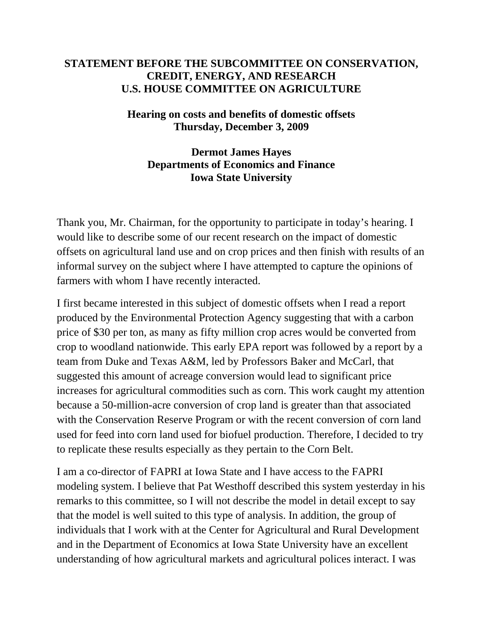## **STATEMENT BEFORE THE SUBCOMMITTEE ON CONSERVATION, CREDIT, ENERGY, AND RESEARCH U.S. HOUSE COMMITTEE ON AGRICULTURE**

## **Hearing on costs and benefits of domestic offsets Thursday, December 3, 2009**

## **Dermot James Hayes Departments of Economics and Finance Iowa State University**

Thank you, Mr. Chairman, for the opportunity to participate in today's hearing. I would like to describe some of our recent research on the impact of domestic offsets on agricultural land use and on crop prices and then finish with results of an informal survey on the subject where I have attempted to capture the opinions of farmers with whom I have recently interacted.

I first became interested in this subject of domestic offsets when I read a report produced by the Environmental Protection Agency suggesting that with a carbon price of \$30 per ton, as many as fifty million crop acres would be converted from crop to woodland nationwide. This early EPA report was followed by a report by a team from Duke and Texas A&M, led by Professors Baker and McCarl, that suggested this amount of acreage conversion would lead to significant price increases for agricultural commodities such as corn. This work caught my attention because a 50-million-acre conversion of crop land is greater than that associated with the Conservation Reserve Program or with the recent conversion of corn land used for feed into corn land used for biofuel production. Therefore, I decided to try to replicate these results especially as they pertain to the Corn Belt.

I am a co-director of FAPRI at Iowa State and I have access to the FAPRI modeling system. I believe that Pat Westhoff described this system yesterday in his remarks to this committee, so I will not describe the model in detail except to say that the model is well suited to this type of analysis. In addition, the group of individuals that I work with at the Center for Agricultural and Rural Development and in the Department of Economics at Iowa State University have an excellent understanding of how agricultural markets and agricultural polices interact. I was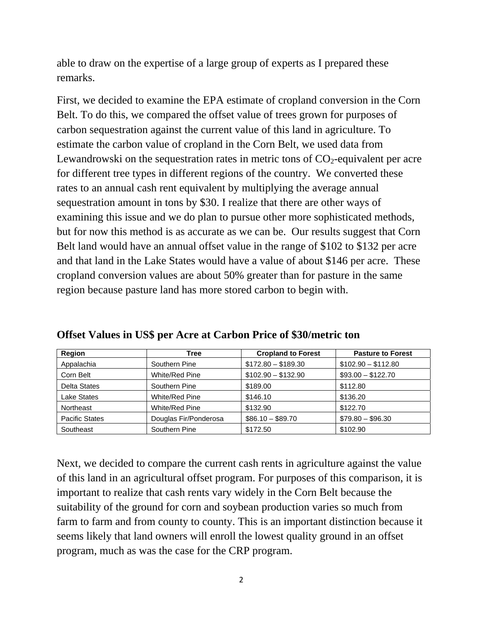able to draw on the expertise of a large group of experts as I prepared these remarks.

First, we decided to examine the EPA estimate of cropland conversion in the Corn Belt. To do this, we compared the offset value of trees grown for purposes of carbon sequestration against the current value of this land in agriculture. To estimate the carbon value of cropland in the Corn Belt, we used data from Lewandrowski on the sequestration rates in metric tons of  $CO_2$ -equivalent per acre for different tree types in different regions of the country. We converted these rates to an annual cash rent equivalent by multiplying the average annual sequestration amount in tons by \$30. I realize that there are other ways of examining this issue and we do plan to pursue other more sophisticated methods, but for now this method is as accurate as we can be. Our results suggest that Corn Belt land would have an annual offset value in the range of \$102 to \$132 per acre and that land in the Lake States would have a value of about \$146 per acre. These cropland conversion values are about 50% greater than for pasture in the same region because pasture land has more stored carbon to begin with.

| Region                | Tree                  | <b>Cropland to Forest</b> | <b>Pasture to Forest</b> |  |  |  |
|-----------------------|-----------------------|---------------------------|--------------------------|--|--|--|
| Appalachia            | Southern Pine         | $$172.80 - $189.30$       | $$102.90 - $112.80$      |  |  |  |
| Corn Belt             | White/Red Pine        | $$102.90 - $132.90$       | $$93.00 - $122.70$       |  |  |  |
| <b>Delta States</b>   | Southern Pine         | \$189.00                  | \$112.80                 |  |  |  |
| <b>Lake States</b>    | White/Red Pine        | \$146.10                  | \$136.20                 |  |  |  |
| Northeast             | White/Red Pine        | \$132.90                  | \$122.70                 |  |  |  |
| <b>Pacific States</b> | Douglas Fir/Ponderosa | $$86.10 - $89.70$         | $$79.80 - $96.30$        |  |  |  |
| Southeast             | Southern Pine         | \$172.50                  | \$102.90                 |  |  |  |

**Offset Values in US\$ per Acre at Carbon Price of \$30/metric ton** 

Next, we decided to compare the current cash rents in agriculture against the value of this land in an agricultural offset program. For purposes of this comparison, it is important to realize that cash rents vary widely in the Corn Belt because the suitability of the ground for corn and soybean production varies so much from farm to farm and from county to county. This is an important distinction because it seems likely that land owners will enroll the lowest quality ground in an offset program, much as was the case for the CRP program.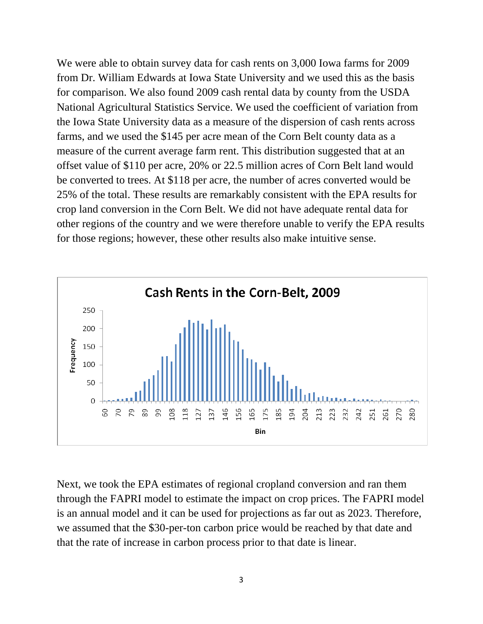We were able to obtain survey data for cash rents on 3,000 Iowa farms for 2009 from Dr. William Edwards at Iowa State University and we used this as the basis for comparison. We also found 2009 cash rental data by county from the USDA National Agricultural Statistics Service. We used the coefficient of variation from the Iowa State University data as a measure of the dispersion of cash rents across farms, and we used the \$145 per acre mean of the Corn Belt county data as a measure of the current average farm rent. This distribution suggested that at an offset value of \$110 per acre, 20% or 22.5 million acres of Corn Belt land would be converted to trees. At \$118 per acre, the number of acres converted would be 25% of the total. These results are remarkably consistent with the EPA results for crop land conversion in the Corn Belt. We did not have adequate rental data for other regions of the country and we were therefore unable to verify the EPA results for those regions; however, these other results also make intuitive sense.



Next, we took the EPA estimates of regional cropland conversion and ran them through the FAPRI model to estimate the impact on crop prices. The FAPRI model is an annual model and it can be used for projections as far out as 2023. Therefore, we assumed that the \$30-per-ton carbon price would be reached by that date and that the rate of increase in carbon process prior to that date is linear.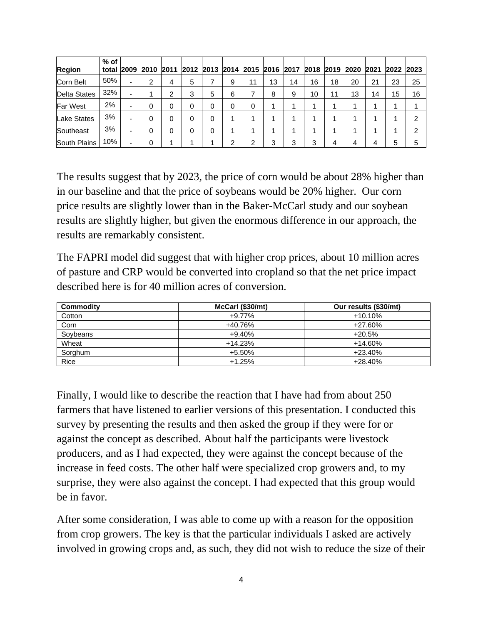| <b>Region</b>       | $%$ of | total 2009 | 2010 | 2011 |   |   | 2012 2013 2014 2015 2016 2017 2018 2019 |    |    |    |    |    | 2020 | 2021 | 2022 | 2023 |
|---------------------|--------|------------|------|------|---|---|-----------------------------------------|----|----|----|----|----|------|------|------|------|
| Corn Belt           | 50%    |            | ົ    |      | 5 |   | 9                                       | 11 | 13 | 14 | 16 | 18 | 20   | 21   | 23   | 25   |
| <b>Delta States</b> | 32%    |            |      | ◠    | 3 | 5 | 6                                       |    | 8  | 9  | 10 | 11 | 13   | 14   | 15   | 16   |
| <b>Far West</b>     | 2%     |            | 0    |      | 0 | 0 | 0                                       | 0  |    |    |    |    |      |      |      |      |
| <b>Lake States</b>  | 3%     |            | 0    |      | 0 | 0 |                                         |    |    |    |    |    |      |      |      | ົ    |
| Southeast           | 3%     |            |      |      | 0 | 0 |                                         |    |    |    |    |    |      |      |      | ົ    |
| South Plains        | 10%    |            |      |      |   |   | ⌒                                       | ⌒  | 3  | 3  | 3  | 4  | 4    |      | 5    | 5    |

The results suggest that by 2023, the price of corn would be about 28% higher than in our baseline and that the price of soybeans would be 20% higher. Our corn price results are slightly lower than in the Baker-McCarl study and our soybean results are slightly higher, but given the enormous difference in our approach, the results are remarkably consistent.

The FAPRI model did suggest that with higher crop prices, about 10 million acres of pasture and CRP would be converted into cropland so that the net price impact described here is for 40 million acres of conversion.

| Commodity | McCarl (\$30/mt) | Our results (\$30/mt) |
|-----------|------------------|-----------------------|
| Cotton    | $+9.77%$         | $+10.10%$             |
| Corn      | +40.76%          | +27.60%               |
| Soybeans  | $+9.40%$         | $+20.5%$              |
| Wheat     | $+14.23%$        | $+14.60%$             |
| Sorghum   | $+5.50%$         | +23.40%               |
| Rice      | $+1.25%$         | +28.40%               |

Finally, I would like to describe the reaction that I have had from about 250 farmers that have listened to earlier versions of this presentation. I conducted this survey by presenting the results and then asked the group if they were for or against the concept as described. About half the participants were livestock producers, and as I had expected, they were against the concept because of the increase in feed costs. The other half were specialized crop growers and, to my surprise, they were also against the concept. I had expected that this group would be in favor.

After some consideration, I was able to come up with a reason for the opposition from crop growers. The key is that the particular individuals I asked are actively involved in growing crops and, as such, they did not wish to reduce the size of their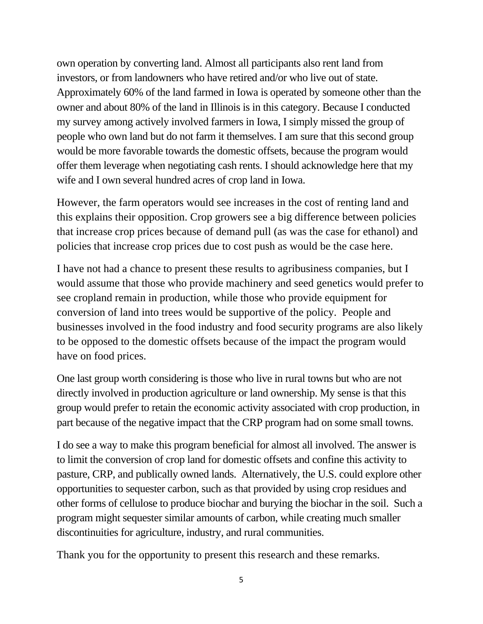own operation by converting land. Almost all participants also rent land from investors, or from landowners who have retired and/or who live out of state. Approximately 60% of the land farmed in Iowa is operated by someone other than the owner and about 80% of the land in Illinois is in this category. Because I conducted my survey among actively involved farmers in Iowa, I simply missed the group of people who own land but do not farm it themselves. I am sure that this second group would be more favorable towards the domestic offsets, because the program would offer them leverage when negotiating cash rents. I should acknowledge here that my wife and I own several hundred acres of crop land in Iowa.

However, the farm operators would see increases in the cost of renting land and this explains their opposition. Crop growers see a big difference between policies that increase crop prices because of demand pull (as was the case for ethanol) and policies that increase crop prices due to cost push as would be the case here.

I have not had a chance to present these results to agribusiness companies, but I would assume that those who provide machinery and seed genetics would prefer to see cropland remain in production, while those who provide equipment for conversion of land into trees would be supportive of the policy. People and businesses involved in the food industry and food security programs are also likely to be opposed to the domestic offsets because of the impact the program would have on food prices.

One last group worth considering is those who live in rural towns but who are not directly involved in production agriculture or land ownership. My sense is that this group would prefer to retain the economic activity associated with crop production, in part because of the negative impact that the CRP program had on some small towns.

I do see a way to make this program beneficial for almost all involved. The answer is to limit the conversion of crop land for domestic offsets and confine this activity to pasture, CRP, and publically owned lands. Alternatively, the U.S. could explore other opportunities to sequester carbon, such as that provided by using crop residues and other forms of cellulose to produce biochar and burying the biochar in the soil. Such a program might sequester similar amounts of carbon, while creating much smaller discontinuities for agriculture, industry, and rural communities.

Thank you for the opportunity to present this research and these remarks.